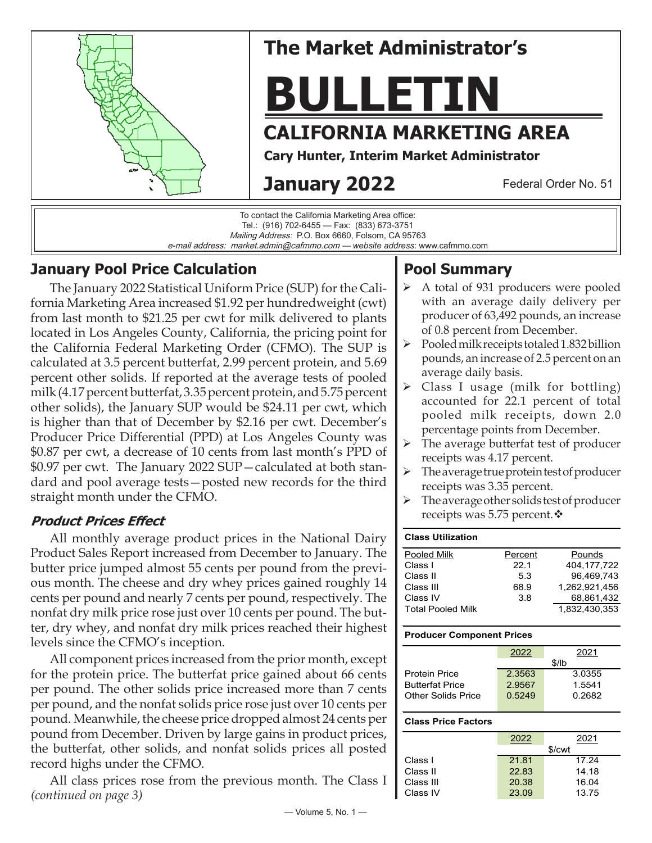

#### Mailing Address: P.O. Box 6660, Folsom, CA 95763 e-mail address: market.admin@cafmmo.com — *website address*: www.cafmmo.com

## **January Pool Price Calculation**

The January 2022 Statistical Uniform Price (SUP) for the California Marketing Area increased \$1.92 per hundredweight (cwt) from last month to \$21.25 per cwt for milk delivered to plants located in Los Angeles County, California, the pricing point for the California Federal Marketing Order (CFMO). The SUP is calculated at 3.5 percent butterfat, 2.99 percent protein, and 5.69 percent other solids. If reported at the average tests of pooled milk (4.17 percent butterfat, 3.35 percent protein, and 5.75 percent other solids), the January SUP would be \$24.11 per cwt, which is higher than that of December by \$2.16 per cwt. December's Producer Price Differential (PPD) at Los Angeles County was \$0.87 per cwt, a decrease of 10 cents from last month's PPD of \$0.97 per cwt. The January 2022 SUP—calculated at both standard and pool average tests—posted new records for the third straight month under the CFMO.

### **Product Prices Effect**

All monthly average product prices in the National Dairy Product Sales Report increased from December to January. The butter price jumped almost 55 cents per pound from the previous month. The cheese and dry whey prices gained roughly 14 cents per pound and nearly 7 cents per pound, respectively. The nonfat dry milk price rose just over 10 cents per pound. The butter, dry whey, and nonfat dry milk prices reached their highest levels since the CFMO's inception.

All component prices increased from the prior month, except for the protein price. The butterfat price gained about 66 cents per pound. The other solids price increased more than 7 cents per pound, and the nonfat solids price rose just over 10 cents per pound. Meanwhile, the cheese price dropped almost 24 cents per pound from December. Driven by large gains in product prices, the butterfat, other solids, and nonfat solids prices all posted record highs under the CFMO.

All class prices rose from the previous month. The Class I *(continued on page 3)*

## **Pool Summary**

- A total of 931 producers were pooled with an average daily delivery per producer of 63,492 pounds, an increase of 0.8 percent from December.
- $\triangleright$  Pooled milk receipts totaled 1.832 billion pounds, an increase of 2.5 percent on an average daily basis.
- $\triangleright$  Class I usage (milk for bottling) accounted for 22.1 percent of total pooled milk receipts, down 2.0 percentage points from December.
- $\triangleright$  The average butterfat test of producer receipts was 4.17 percent.
- $\triangleright$  The average true protein test of producer receipts was 3.35 percent.
- $\triangleright$  The average other solids test of producer receipts was 5.75 percent. $\mathbf{\hat{*}}$

| <b>Class Utilization</b> |         |               |
|--------------------------|---------|---------------|
| Pooled Milk              | Percent | Pounds        |
| Class I                  | 22.1    | 404.177.722   |
| Class II                 | 53      | 96,469,743    |
| Class III                | 68.9    | 1.262.921.456 |
| Class IV                 | 3.8     | 68,861,432    |
| <b>Total Pooled Milk</b> |         | 1.832,430,353 |

#### **Producer Component Prices**

|                        | 2022   | 2021   |
|------------------------|--------|--------|
|                        |        | \$/lb  |
| <b>Protein Price</b>   | 2.3563 | 3.0355 |
| <b>Butterfat Price</b> | 2.9567 | 1.5541 |
| Other Solids Price     | 0.5249 | 0.2682 |
|                        |        |        |

#### **Class Price Factors**

|           | 2022   | 2021  |  |  |  |
|-----------|--------|-------|--|--|--|
|           | \$/cwt |       |  |  |  |
| Class I   | 21.81  | 17.24 |  |  |  |
| Class II  | 22.83  | 14.18 |  |  |  |
| Class III | 20.38  | 16.04 |  |  |  |
| Class IV  | 23.09  | 13.75 |  |  |  |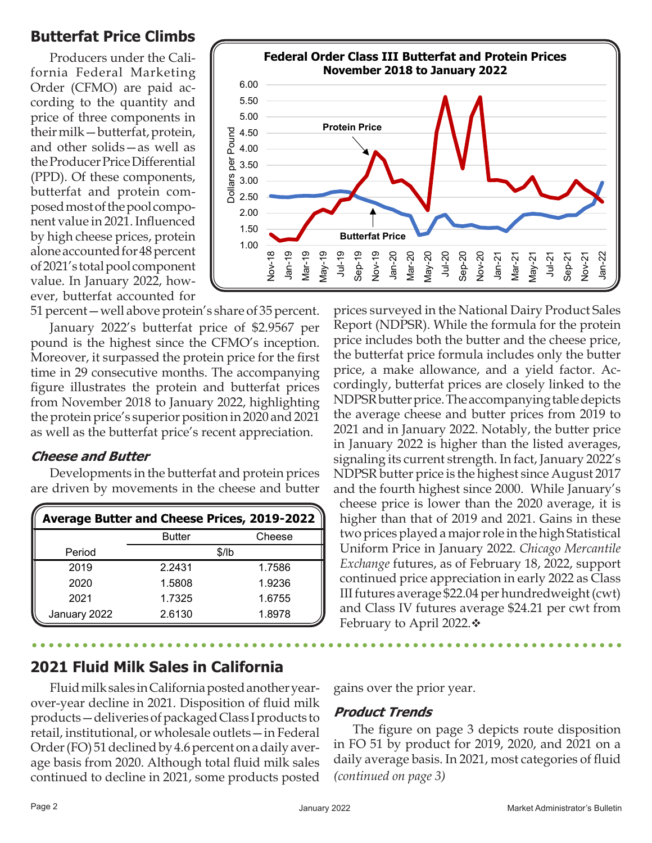## **Butterfat Price Climbs**

Producers under the California Federal Marketing Order (CFMO) are paid according to the quantity and price of three components in their milk—butterfat, protein, and other solids—as well as the Producer Price Differential (PPD). Of these components, butterfat and protein composed most of the pool component value in 2021. Influenced by high cheese prices, protein alone accounted for 48 percent of 2021's total pool component value. In January 2022, however, butterfat accounted for



51 percent—well above protein's share of 35 percent.

January 2022's butterfat price of \$2.9567 per pound is the highest since the CFMO's inception. Moreover, it surpassed the protein price for the first time in 29 consecutive months. The accompanying figure illustrates the protein and butterfat prices from November 2018 to January 2022, highlighting the protein price's superior position in 2020 and 2021 as well as the butterfat price's recent appreciation.

#### **Cheese and Butter**

Developments in the butterfat and protein prices are driven by movements in the cheese and butter

| <b>Average Butter and Cheese Prices, 2019-2022</b> |               |        |  |  |  |
|----------------------------------------------------|---------------|--------|--|--|--|
|                                                    | <b>Butter</b> | Cheese |  |  |  |
| Period                                             |               | \$/lb  |  |  |  |
| 2019                                               | 2.2431        | 1.7586 |  |  |  |
| 2020                                               | 1.5808        | 1.9236 |  |  |  |
| 2021                                               | 1.7325        | 1.6755 |  |  |  |
| January 2022                                       | 2.6130        | 1.8978 |  |  |  |

# **2021 Fluid Milk Sales in California**

Fluid milk sales in California posted another yearover-year decline in 2021. Disposition of fluid milk products—deliveries of packaged Class I products to retail, institutional, or wholesale outlets—in Federal Order (FO) 51 declined by 4.6 percent on a daily average basis from 2020. Although total fluid milk sales continued to decline in 2021, some products posted

prices surveyed in the National Dairy Product Sales Report (NDPSR). While the formula for the protein price includes both the butter and the cheese price, the butterfat price formula includes only the butter price, a make allowance, and a yield factor. Accordingly, butterfat prices are closely linked to the NDPSR butter price. The accompanying table depicts the average cheese and butter prices from 2019 to 2021 and in January 2022. Notably, the butter price in January 2022 is higher than the listed averages, signaling its current strength. In fact, January 2022's NDPSR butter price is the highest since August 2017 and the fourth highest since 2000. While January's cheese price is lower than the 2020 average, it is higher than that of 2019 and 2021. Gains in these two prices played a major role in the high Statistical Uniform Price in January 2022. *Chicago Mercantile Exchange* futures, as of February 18, 2022, support continued price appreciation in early 2022 as Class III futures average \$22.04 per hundredweight (cwt) and Class IV futures average \$24.21 per cwt from February to April 2022. $\div$ 

gains over the prior year.

#### **Product Trends**

The figure on page 3 depicts route disposition in FO 51 by product for 2019, 2020, and 2021 on a daily average basis. In 2021, most categories of fluid *(continued on page 3)*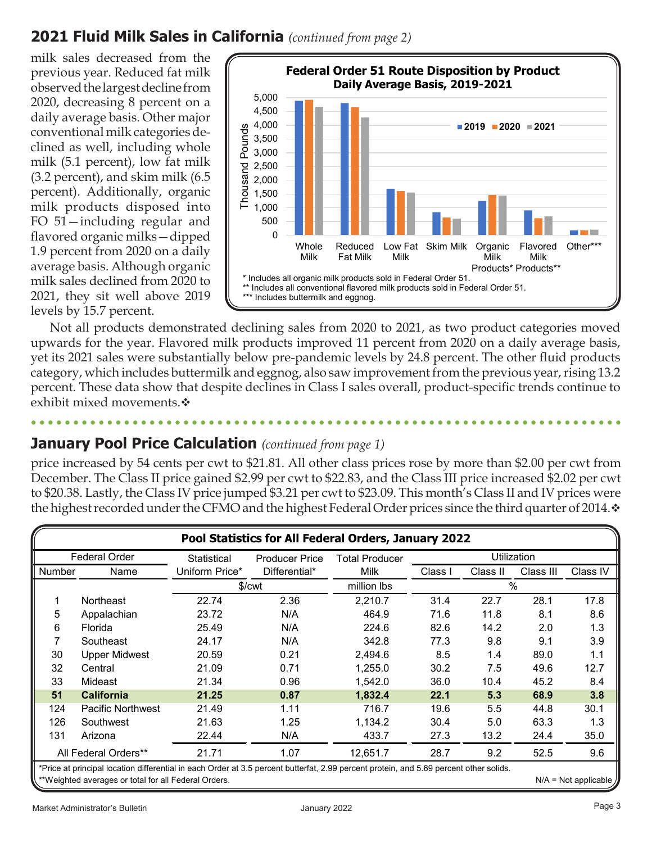## **2021 Fluid Milk Sales in California** *(continued from page 2)*

milk sales decreased from the previous year. Reduced fat milk observed the largest decline from 2020, decreasing 8 percent on a daily average basis. Other major conventional milk categories declined as well, including whole milk (5.1 percent), low fat milk (3.2 percent), and skim milk (6.5 percent). Additionally, organic milk products disposed into FO 51—including regular and flavored organic milks—dipped 1.9 percent from 2020 on a daily average basis. Although organic milk sales declined from 2020 to 2021, they sit well above 2019 levels by 15.7 percent.



Not all products demonstrated declining sales from 2020 to 2021, as two product categories moved upwards for the year. Flavored milk products improved 11 percent from 2020 on a daily average basis, yet its 2021 sales were substantially below pre-pandemic levels by 24.8 percent. The other fluid products category, which includes buttermilk and eggnog, also saw improvement from the previous year, rising 13.2 percent. These data show that despite declines in Class I sales overall, product-specific trends continue to exhibit mixed movements. $\mathbf{\hat{*}}$ 

## **January Pool Price Calculation** *(continued from page 1)*

price increased by 54 cents per cwt to \$21.81. All other class prices rose by more than \$2.00 per cwt from December. The Class II price gained \$2.99 per cwt to \$22.83, and the Class III price increased \$2.02 per cwt to \$20.38. Lastly, the Class IV price jumped \$3.21 per cwt to \$23.09. This month's Class II and IV prices were the highest recorded under the CFMO and the highest Federal Order prices since the third quarter of 2014. $\cdot$ 

| Pool Statistics for All Federal Orders, January 2022                                                                                                                                                                     |                          |                       |                    |             |         |          |           |          |
|--------------------------------------------------------------------------------------------------------------------------------------------------------------------------------------------------------------------------|--------------------------|-----------------------|--------------------|-------------|---------|----------|-----------|----------|
| <b>Federal Order</b><br><b>Producer Price</b><br>Statistical                                                                                                                                                             |                          | <b>Total Producer</b> | Utilization        |             |         |          |           |          |
| Number                                                                                                                                                                                                                   | Name                     | Uniform Price*        | Differential*      | Milk        | Class I | Class II | Class III | Class IV |
|                                                                                                                                                                                                                          |                          |                       | \$/ <sub>cut</sub> | million lbs | $\%$    |          |           |          |
|                                                                                                                                                                                                                          | <b>Northeast</b>         | 22.74                 | 2.36               | 2,210.7     | 31.4    | 22.7     | 28.1      | 17.8     |
| 5                                                                                                                                                                                                                        | Appalachian              | 23.72                 | N/A                | 464.9       | 71.6    | 11.8     | 8.1       | 8.6      |
| 6                                                                                                                                                                                                                        | Florida                  | 25.49                 | N/A                | 224.6       | 82.6    | 14.2     | 2.0       | 1.3      |
|                                                                                                                                                                                                                          | Southeast                | 24.17                 | N/A                | 342.8       | 77.3    | 9.8      | 9.1       | 3.9      |
| 30                                                                                                                                                                                                                       | <b>Upper Midwest</b>     | 20.59                 | 0.21               | 2,494.6     | 8.5     | 1.4      | 89.0      | 1.1      |
| 32                                                                                                                                                                                                                       | Central                  | 21.09                 | 0.71               | 1,255.0     | 30.2    | 7.5      | 49.6      | 12.7     |
| 33                                                                                                                                                                                                                       | Mideast                  | 21.34                 | 0.96               | 1,542.0     | 36.0    | 10.4     | 45.2      | 8.4      |
| 51                                                                                                                                                                                                                       | <b>California</b>        | 21.25                 | 0.87               | 1,832.4     | 22.1    | 5.3      | 68.9      | 3.8      |
| 124                                                                                                                                                                                                                      | <b>Pacific Northwest</b> | 21.49                 | 1.11               | 716.7       | 19.6    | 5.5      | 44.8      | 30.1     |
| 126                                                                                                                                                                                                                      | Southwest                | 21.63                 | 1.25               | 1,134.2     | 30.4    | 5.0      | 63.3      | 1.3      |
| 131                                                                                                                                                                                                                      | Arizona                  | 22.44                 | N/A                | 433.7       | 27.3    | 13.2     | 24.4      | 35.0     |
|                                                                                                                                                                                                                          | All Federal Orders**     | 21.71                 | 1.07               | 12,651.7    | 28.7    | 9.2      | 52.5      | 9.6      |
| *Price at principal location differential in each Order at 3.5 percent butterfat, 2.99 percent protein, and 5.69 percent other solids.<br>**Weighted averages or total for all Federal Orders.<br>$N/A = Not applicable$ |                          |                       |                    |             |         |          |           |          |